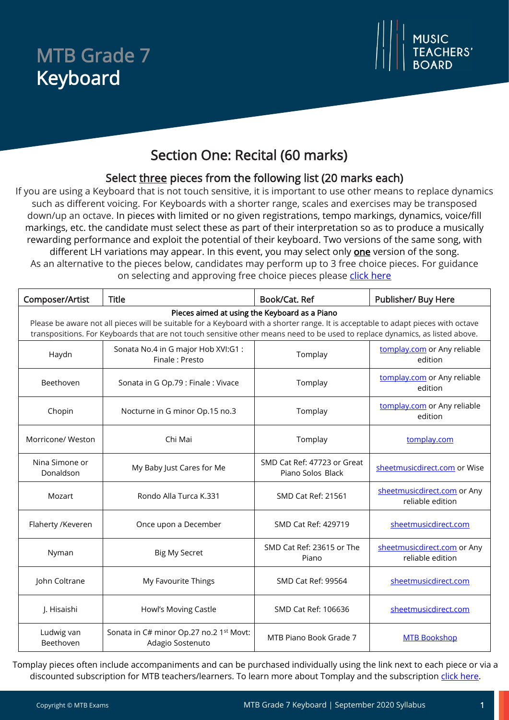## MTB Grade 7 Keyboard



### Section One: Recital (60 marks)

#### Select three pieces from the following list (20 marks each)

If you are using a Keyboard that is not touch sensitive, it is important to use other means to replace dynamics such as different voicing. For Keyboards with a shorter range, scales and exercises may be transposed down/up an octave. In pieces with limited or no given registrations, tempo markings, dynamics, voice/fill markings, etc. the candidate must select these as part of their interpretation so as to produce a musically rewarding performance and exploit the potential of their keyboard. Two versions of the same song, with different LH variations may appear. In this event, you may select only **one** version of the song.

As an alternative to the pieces below, candidates may perform up to 3 free choice pieces. For guidance on selecting and approving free choice pieces please [click here](https://www.mtbexams.com/how-it-works/free-choice-pieces-guidance/)

| Composer/Artist                                                                                                                                                                                                                                                                                                    | <b>Title</b>                                                | Book/Cat. Ref                                    | Publisher/ Buy Here                             |  |  |
|--------------------------------------------------------------------------------------------------------------------------------------------------------------------------------------------------------------------------------------------------------------------------------------------------------------------|-------------------------------------------------------------|--------------------------------------------------|-------------------------------------------------|--|--|
| Pieces aimed at using the Keyboard as a Piano<br>Please be aware not all pieces will be suitable for a Keyboard with a shorter range. It is acceptable to adapt pieces with octave<br>transpositions. For Keyboards that are not touch sensitive other means need to be used to replace dynamics, as listed above. |                                                             |                                                  |                                                 |  |  |
| Haydn                                                                                                                                                                                                                                                                                                              | Sonata No.4 in G major Hob XVI:G1 :<br>Finale: Presto       | Tomplay                                          | tomplay.com or Any reliable<br>edition          |  |  |
| Beethoven                                                                                                                                                                                                                                                                                                          | Sonata in G Op.79 : Finale : Vivace                         | Tomplay                                          | tomplay.com or Any reliable<br>edition          |  |  |
| Chopin                                                                                                                                                                                                                                                                                                             | Nocturne in G minor Op.15 no.3                              | Tomplay                                          | tomplay.com or Any reliable<br>edition          |  |  |
| Morricone/ Weston                                                                                                                                                                                                                                                                                                  | Chi Mai                                                     | Tomplay                                          | tomplay.com                                     |  |  |
| Nina Simone or<br>Donaldson                                                                                                                                                                                                                                                                                        | My Baby Just Cares for Me                                   | SMD Cat Ref: 47723 or Great<br>Piano Solos Black | sheetmusicdirect.com or Wise                    |  |  |
| Mozart                                                                                                                                                                                                                                                                                                             | Rondo Alla Turca K.331                                      | <b>SMD Cat Ref: 21561</b>                        | sheetmusicdirect.com or Any<br>reliable edition |  |  |
| Flaherty /Keveren                                                                                                                                                                                                                                                                                                  | Once upon a December                                        | SMD Cat Ref: 429719                              | sheetmusicdirect.com                            |  |  |
| Nyman                                                                                                                                                                                                                                                                                                              | <b>Big My Secret</b>                                        | SMD Cat Ref: 23615 or The<br>Piano               | sheetmusicdirect.com or Any<br>reliable edition |  |  |
| John Coltrane                                                                                                                                                                                                                                                                                                      | My Favourite Things                                         | <b>SMD Cat Ref: 99564</b>                        | sheetmusicdirect.com                            |  |  |
| J. Hisaishi                                                                                                                                                                                                                                                                                                        | Howl's Moving Castle                                        | SMD Cat Ref: 106636                              | sheetmusicdirect.com                            |  |  |
| Ludwig van<br>Beethoven                                                                                                                                                                                                                                                                                            | Sonata in C# minor Op.27 no.2 1st Movt:<br>Adagio Sostenuto | MTB Piano Book Grade 7                           | <b>MTB Bookshop</b>                             |  |  |

Tomplay pieces often include accompaniments and can be purchased individually using the link next to each piece or via a discounted subscription for MTB teachers/learners. To learn more about Tomplay and the subscription [click here.](https://www.mtbexams.com/2020/09/14/mtb-partner-with-tomplay/)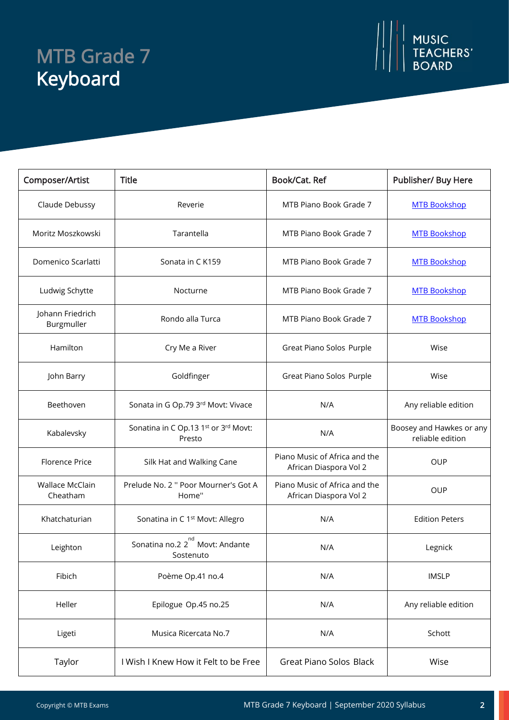# MTB Grade 7 Keyboard



| Composer/Artist                | <b>Title</b>                                                  | Book/Cat. Ref                                           | Publisher/ Buy Here                          |
|--------------------------------|---------------------------------------------------------------|---------------------------------------------------------|----------------------------------------------|
| Claude Debussy                 | Reverie                                                       | MTB Piano Book Grade 7                                  | <b>MTB Bookshop</b>                          |
| Moritz Moszkowski              | Tarantella                                                    | MTB Piano Book Grade 7                                  | <b>MTB Bookshop</b>                          |
| Domenico Scarlatti             | Sonata in CK159                                               | MTB Piano Book Grade 7                                  | <b>MTB Bookshop</b>                          |
| Ludwig Schytte                 | Nocturne                                                      | MTB Piano Book Grade 7                                  | <b>MTB Bookshop</b>                          |
| Johann Friedrich<br>Burgmuller | Rondo alla Turca                                              | MTB Piano Book Grade 7                                  | <b>MTB Bookshop</b>                          |
| Hamilton                       | Cry Me a River                                                | Great Piano Solos Purple                                | Wise                                         |
| John Barry                     | Goldfinger                                                    | Great Piano Solos Purple                                | Wise                                         |
| Beethoven                      | Sonata in G Op.79 3rd Movt: Vivace                            | N/A                                                     | Any reliable edition                         |
| Kabalevsky                     | Sonatina in C Op.13 1st or 3rd Movt:<br>Presto                | N/A                                                     | Boosey and Hawkes or any<br>reliable edition |
| Florence Price                 | Silk Hat and Walking Cane                                     | Piano Music of Africa and the<br>African Diaspora Vol 2 | <b>OUP</b>                                   |
| Wallace McClain<br>Cheatham    | Prelude No. 2 " Poor Mourner's Got A<br>Home"                 | Piano Music of Africa and the<br>African Diaspora Vol 2 | <b>OUP</b>                                   |
| Khatchaturian                  | Sonatina in C 1 <sup>st</sup> Movt: Allegro                   | N/A                                                     | <b>Edition Peters</b>                        |
| Leighton                       | nd<br>Sonatina no.2 2 <sup>"</sup> Movt: Andante<br>Sostenuto | N/A                                                     | Legnick                                      |
| Fibich                         | Poème Op.41 no.4                                              | N/A                                                     | <b>IMSLP</b>                                 |
| Heller                         | Epilogue Op.45 no.25                                          | N/A                                                     | Any reliable edition                         |
| Ligeti                         | Musica Ricercata No.7                                         | N/A                                                     | Schott                                       |
| Taylor                         | I Wish I Knew How it Felt to be Free                          | Great Piano Solos Black                                 | Wise                                         |